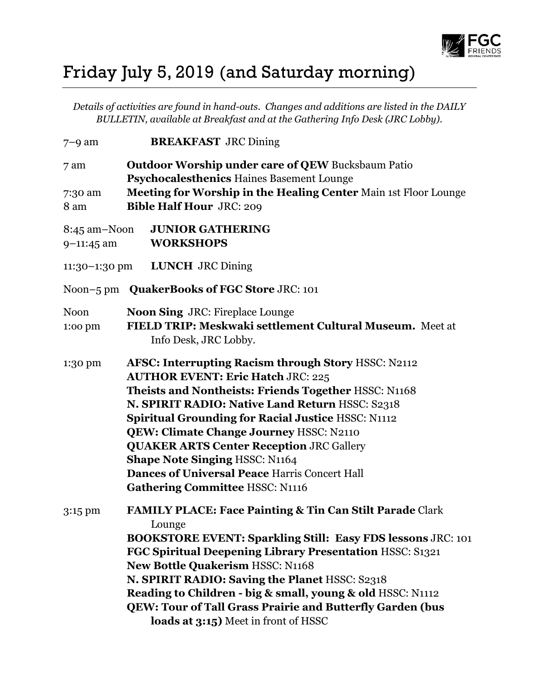

## Friday July 5, 2019 (and Saturday morning)

*Details of activities are found in hand-outs. Changes and additions are listed in the DAILY BULLETIN, available at Breakfast and at the Gathering Info Desk (JRC Lobby).*

| $7-9$ am                         | <b>BREAKFAST JRC Dining</b>                                                                                                                                                                                                                                                                                                                                                                                                                                                                                      |
|----------------------------------|------------------------------------------------------------------------------------------------------------------------------------------------------------------------------------------------------------------------------------------------------------------------------------------------------------------------------------------------------------------------------------------------------------------------------------------------------------------------------------------------------------------|
| 7 am                             | <b>Outdoor Worship under care of QEW Bucksbaum Patio</b><br>Psychocalesthenics Haines Basement Lounge                                                                                                                                                                                                                                                                                                                                                                                                            |
| 7:30 am<br>8 am                  | Meeting for Worship in the Healing Center Main 1st Floor Lounge<br><b>Bible Half Hour JRC: 209</b>                                                                                                                                                                                                                                                                                                                                                                                                               |
| $8:45$ am $-N$ oon<br>9-11:45 am | <b>JUNIOR GATHERING</b><br><b>WORKSHOPS</b>                                                                                                                                                                                                                                                                                                                                                                                                                                                                      |
| $11:30-1:30$ pm                  | <b>LUNCH</b> JRC Dining                                                                                                                                                                                                                                                                                                                                                                                                                                                                                          |
| Noon $-5$ pm                     | <b>QuakerBooks of FGC Store JRC: 101</b>                                                                                                                                                                                                                                                                                                                                                                                                                                                                         |
| <b>Noon</b><br>1:00 pm           | <b>Noon Sing JRC: Fireplace Lounge</b><br>FIELD TRIP: Meskwaki settlement Cultural Museum. Meet at<br>Info Desk, JRC Lobby.                                                                                                                                                                                                                                                                                                                                                                                      |
| 1:30 pm                          | AFSC: Interrupting Racism through Story HSSC: N2112<br><b>AUTHOR EVENT: Eric Hatch JRC: 225</b><br>Theists and Nontheists: Friends Together HSSC: N1168<br>N. SPIRIT RADIO: Native Land Return HSSC: S2318<br><b>Spiritual Grounding for Racial Justice HSSC: N1112</b><br>QEW: Climate Change Journey HSSC: N2110<br><b>QUAKER ARTS Center Reception JRC Gallery</b><br><b>Shape Note Singing HSSC: N1164</b><br><b>Dances of Universal Peace Harris Concert Hall</b><br><b>Gathering Committee HSSC: N1116</b> |
| 3:15 pm                          | <b>FAMILY PLACE: Face Painting &amp; Tin Can Stilt Parade Clark</b><br>Lounge<br><b>BOOKSTORE EVENT: Sparkling Still: Easy FDS lessons JRC: 101</b><br>FGC Spiritual Deepening Library Presentation HSSC: S1321<br><b>New Bottle Quakerism HSSC: N1168</b><br>N. SPIRIT RADIO: Saving the Planet HSSC: S2318<br>Reading to Children - big & small, young & old HSSC: N1112<br>QEW: Tour of Tall Grass Prairie and Butterfly Garden (bus<br>loads at 3:15) Meet in front of HSSC                                  |